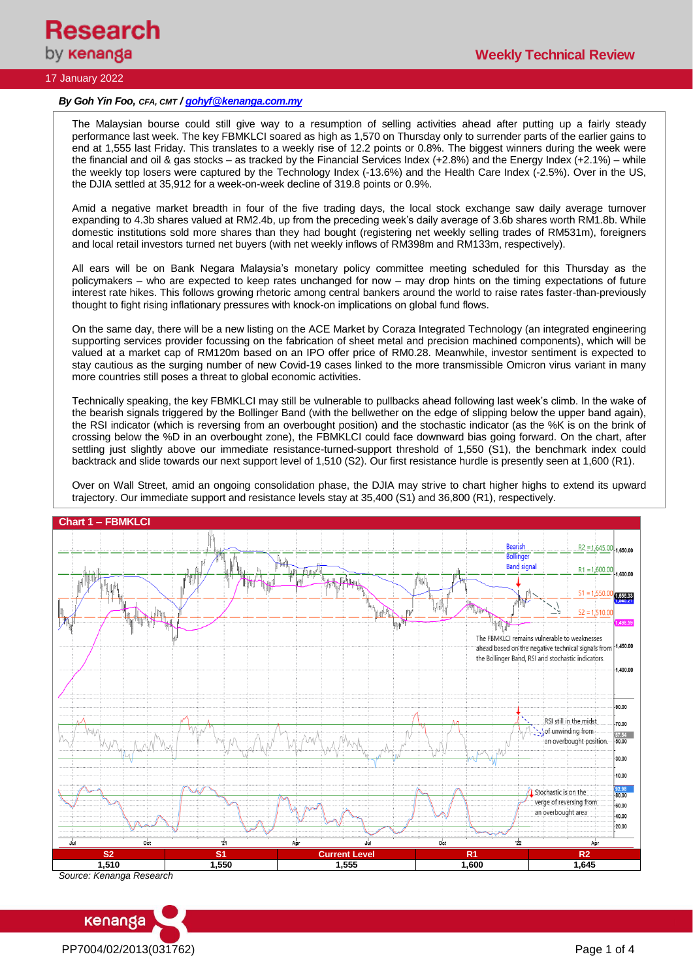

## 17 January 2022

#### *By Goh Yin Foo, CFA, CMT [/ gohyf@kenanga.com.my](mailto:gohyf@kenanga.com.my)*

The Malaysian bourse could still give way to a resumption of selling activities ahead after putting up a fairly steady performance last week. The key FBMKLCI soared as high as 1,570 on Thursday only to surrender parts of the earlier gains to end at 1,555 last Friday. This translates to a weekly rise of 12.2 points or 0.8%. The biggest winners during the week were the financial and oil & gas stocks – as tracked by the Financial Services Index (+2.8%) and the Energy Index (+2.1%) – while the weekly top losers were captured by the Technology Index (-13.6%) and the Health Care Index (-2.5%). Over in the US, the DJIA settled at 35,912 for a week-on-week decline of 319.8 points or 0.9%.

Amid a negative market breadth in four of the five trading days, the local stock exchange saw daily average turnover expanding to 4.3b shares valued at RM2.4b, up from the preceding week's daily average of 3.6b shares worth RM1.8b. While domestic institutions sold more shares than they had bought (registering net weekly selling trades of RM531m), foreigners and local retail investors turned net buyers (with net weekly inflows of RM398m and RM133m, respectively).

All ears will be on Bank Negara Malaysia's monetary policy committee meeting scheduled for this Thursday as the policymakers – who are expected to keep rates unchanged for now – may drop hints on the timing expectations of future interest rate hikes. This follows growing rhetoric among central bankers around the world to raise rates faster-than-previously thought to fight rising inflationary pressures with knock-on implications on global fund flows.

On the same day, there will be a new listing on the ACE Market by Coraza Integrated Technology (an integrated engineering supporting services provider focussing on the fabrication of sheet metal and precision machined components), which will be valued at a market cap of RM120m based on an IPO offer price of RM0.28. Meanwhile, investor sentiment is expected to stay cautious as the surging number of new Covid-19 cases linked to the more transmissible Omicron virus variant in many more countries still poses a threat to global economic activities.

Technically speaking, the key FBMKLCI may still be vulnerable to pullbacks ahead following last week's climb. In the wake of the bearish signals triggered by the Bollinger Band (with the bellwether on the edge of slipping below the upper band again), the RSI indicator (which is reversing from an overbought position) and the stochastic indicator (as the %K is on the brink of crossing below the %D in an overbought zone), the FBMKLCI could face downward bias going forward. On the chart, after settling just slightly above our immediate resistance-turned-support threshold of 1,550 (S1), the benchmark index could backtrack and slide towards our next support level of 1,510 (S2). Our first resistance hurdle is presently seen at 1,600 (R1).

Over on Wall Street, amid an ongoing consolidation phase, the DJIA may strive to chart higher highs to extend its upward trajectory. Our immediate support and resistance levels stay at 35,400 (S1) and 36,800 (R1), respectively.



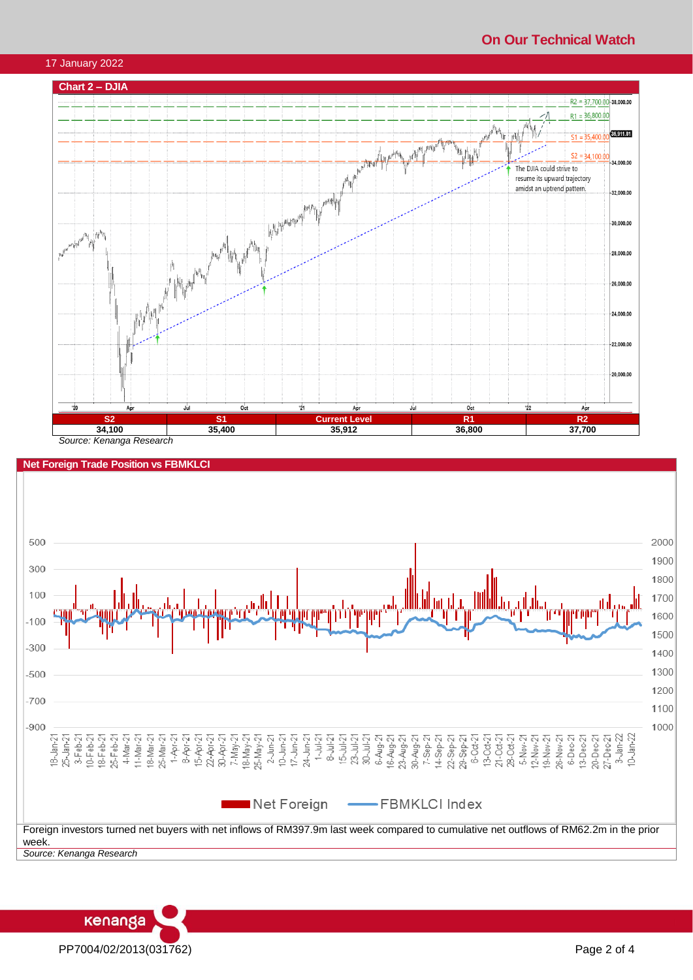# **On Our Technical Watch**







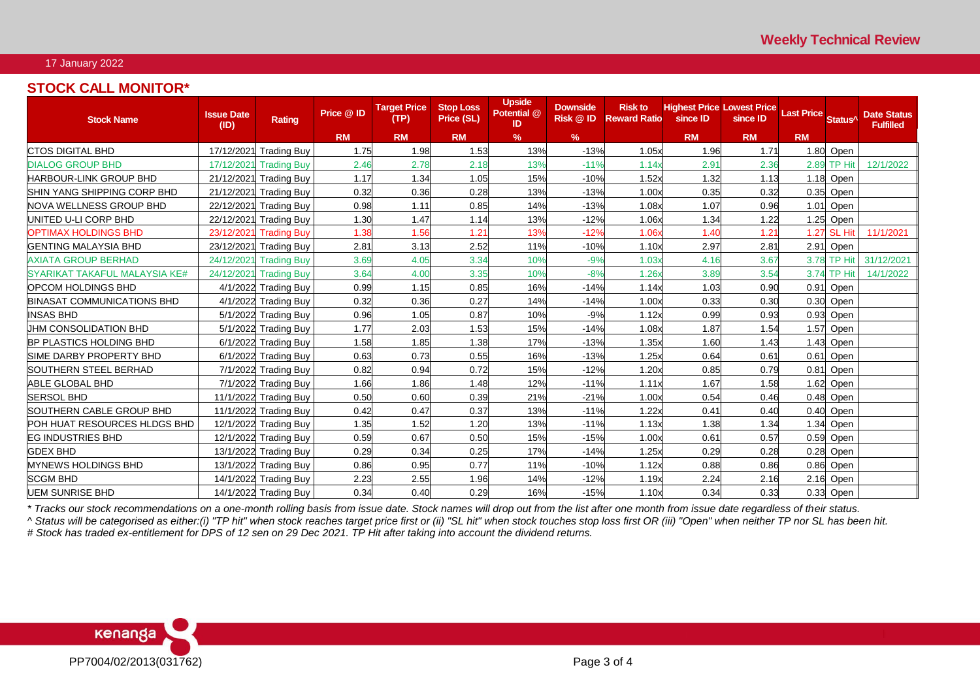### 17 January 2022

## **STOCK CALL MONITOR\***

| <b>Stock Name</b>                   | <b>Issue Date</b><br>(ID) | Rating                 | Price @ ID | <b>Target Price</b><br>(TP) | <b>Stop Loss</b><br>Price (SL) | <b>Upside</b><br>Potential @<br>ID | <b>Downside</b><br>Risk @ ID | <b>Risk to</b><br><b>Reward Ratio</b> | <b>Highest Price Lowest Price</b><br>since ID | since ID  | <b>Last Price</b> | Status <sup>^</sup> | <b>Date Status</b><br><b>Fulfilled</b> |
|-------------------------------------|---------------------------|------------------------|------------|-----------------------------|--------------------------------|------------------------------------|------------------------------|---------------------------------------|-----------------------------------------------|-----------|-------------------|---------------------|----------------------------------------|
|                                     |                           |                        | <b>RM</b>  | <b>RM</b>                   | <b>RM</b>                      | $\%$                               | %                            |                                       | <b>RM</b>                                     | <b>RM</b> | <b>RM</b>         |                     |                                        |
| <b>ICTOS DIGITAL BHD</b>            |                           | 17/12/2021 Trading Buy | 1.75       | 1.98                        | 1.53                           | 13%                                | $-13%$                       | 1.05x                                 | 1.96                                          | 1.71      | 1.80              | Open                |                                        |
| <b>DIALOG GROUP BHD</b>             | 17/12/2021                | <b>Trading Buy</b>     | 2.46       | 2.78                        | 2.18                           | 13%                                | $-11%$                       | 1.14x                                 | 2.91                                          | 2.36      |                   | 2.89 TP Hit         | 12/1/2022                              |
| <b>HARBOUR-LINK GROUP BHD</b>       |                           | 21/12/2021 Trading Buy | 1.17       | 1.34                        | 1.05                           | 15%                                | $-10%$                       | 1.52x                                 | 1.32                                          | 1.13      | 1.18              | Open                |                                        |
| SHIN YANG SHIPPING CORP BHD         |                           | 21/12/2021 Trading Buy | 0.32       | 0.36                        | 0.28                           | 13%                                | $-13%$                       | 1.00x                                 | 0.35                                          | 0.32      |                   | 0.35 Open           |                                        |
| NOVA WELLNESS GROUP BHD             |                           | 22/12/2021 Trading Buy | 0.98       | 1.11                        | 0.85                           | 14%                                | $-13%$                       | 1.08x                                 | 1.07                                          | 0.96      | 1.01              | Open                |                                        |
| UNITED U-LI CORP BHD                |                           | 22/12/2021 Trading Buy | 1.30       | 1.47                        | 1.14                           | 13%                                | $-12%$                       | 1.06x                                 | 1.34                                          | 1.22      |                   | 1.25 Open           |                                        |
| <b>OPTIMAX HOLDINGS BHD</b>         |                           | 23/12/2021 Trading Buy | 1.38       | 1.56                        | 1.21                           | 13%                                | $-12%$                       | 1.06 <sub>2</sub>                     | 1.40                                          | 1.21      | 1.27              | <b>SL Hit</b>       | 11/1/2021                              |
| <b>GENTING MALAYSIA BHD</b>         |                           | 23/12/2021 Trading Buy | 2.81       | 3.13                        | 2.52                           | 11%                                | $-10%$                       | 1.10x                                 | 2.97                                          | 2.81      |                   | 2.91 Open           |                                        |
| <b>AXIATA GROUP BERHAD</b>          |                           | 24/12/2021 Trading Buy | 3.69       | 4.05                        | 3.34                           | 10%                                | $-9%$                        | 1.03x                                 | 4.16                                          | 3.67      |                   | 3.78 TP Hit         | 31/12/2021                             |
| SYARIKAT TAKAFUL MALAYSIA KE#       |                           | 24/12/2021 Trading Buy | 3.64       | 4.00                        | 3.35                           | 10%                                | $-8%$                        | 1.26x                                 | 3.89                                          | 3.54      |                   | 3.74 TP Hit         | 14/1/2022                              |
| <b>OPCOM HOLDINGS BHD</b>           |                           | 4/1/2022 Trading Buy   | 0.99       | 1.15                        | 0.85                           | 16%                                | $-14%$                       | 1.14x                                 | 1.03                                          | 0.90      |                   | 0.91 Open           |                                        |
| <b>BINASAT COMMUNICATIONS BHD</b>   |                           | 4/1/2022 Trading Buy   | 0.32       | 0.36                        | 0.27                           | 14%                                | $-14%$                       | 1.00x                                 | 0.33                                          | 0.30      | 0.30              | Open                |                                        |
| <b>INSAS BHD</b>                    |                           | 5/1/2022 Trading Buy   | 0.96       | 1.05                        | 0.87                           | 10%                                | $-9%$                        | 1.12x                                 | 0.99                                          | 0.93      | 0.93              | Open                |                                        |
| JHM CONSOLIDATION BHD               |                           | 5/1/2022 Trading Buy   | 1.77       | 2.03                        | 1.53                           | 15%                                | $-14%$                       | 1.08x                                 | 1.87                                          | 1.54      | 1.57              | Open                |                                        |
| <b>BP PLASTICS HOLDING BHD</b>      |                           | 6/1/2022 Trading Buy   | 1.58       | 1.85                        | 1.38                           | 17%                                | $-13%$                       | 1.35x                                 | 1.60                                          | 1.43      | 1.43              | Open                |                                        |
| SIME DARBY PROPERTY BHD             |                           | 6/1/2022 Trading Buy   | 0.63       | 0.73                        | 0.55                           | 16%                                | $-13%$                       | 1.25x                                 | 0.64                                          | 0.61      | 0.61              | Open                |                                        |
| SOUTHERN STEEL BERHAD               |                           | 7/1/2022 Trading Buy   | 0.82       | 0.94                        | 0.72                           | 15%                                | $-12%$                       | 1.20x                                 | 0.85                                          | 0.79      | 0.81              | Open                |                                        |
| <b>ABLE GLOBAL BHD</b>              |                           | 7/1/2022 Trading Buy   | 1.66       | 1.86                        | 1.48                           | 12%                                | $-11%$                       | 1.11x                                 | 1.67                                          | 1.58      | 1.62              | Open                |                                        |
| <b>SERSOL BHD</b>                   |                           | 11/1/2022 Trading Buy  | 0.50       | 0.60                        | 0.39                           | 21%                                | $-21%$                       | 1.00x                                 | 0.54                                          | 0.46      |                   | $0.48$ Open         |                                        |
| SOUTHERN CABLE GROUP BHD            |                           | 11/1/2022 Trading Buy  | 0.42       | 0.47                        | 0.37                           | 13%                                | $-11%$                       | 1.22x                                 | 0.41                                          | 0.40      | 0.40              | Open                |                                        |
| <b>POH HUAT RESOURCES HLDGS BHD</b> |                           | 12/1/2022 Trading Buy  | 1.35       | 1.52                        | 1.20                           | 13%                                | $-11%$                       | 1.13x                                 | 1.38                                          | 1.34      | 1.34              | Open                |                                        |
| <b>EG INDUSTRIES BHD</b>            |                           | 12/1/2022 Trading Buy  | 0.59       | 0.67                        | 0.50                           | 15%                                | $-15%$                       | 1.00x                                 | 0.61                                          | 0.57      | 0.59              | Open                |                                        |
| <b>GDEX BHD</b>                     |                           | 13/1/2022 Trading Buy  | 0.29       | 0.34                        | 0.25                           | 17%                                | $-14%$                       | 1.25x                                 | 0.29                                          | 0.28      | 0.28              | Open                |                                        |
| <b>MYNEWS HOLDINGS BHD</b>          |                           | 13/1/2022 Trading Buy  | 0.86       | 0.95                        | 0.77                           | 11%                                | $-10%$                       | 1.12x                                 | 0.88                                          | 0.86      | 0.86              | Open                |                                        |
| <b>SCGM BHD</b>                     |                           | 14/1/2022 Trading Buy  | 2.23       | 2.55                        | 1.96                           | 14%                                | $-12%$                       | 1.19x                                 | 2.24                                          | 2.16      |                   | $2.16$ Open         |                                        |
| <b>UEM SUNRISE BHD</b>              |                           | 14/1/2022 Trading Buy  | 0.34       | 0.40                        | 0.29                           | 16%                                | $-15%$                       | 1.10x                                 | 0.34                                          | 0.33      |                   | $0.33$ Open         |                                        |

*\* Tracks our stock recommendations on a one-month rolling basis from issue date. Stock names will drop out from the list after one month from issue date regardless of their status.*

*^ Status will be categorised as either:(i) "TP hit" when stock reaches target price first or (ii) "SL hit" when stock touches stop loss first OR (iii) "Open" when neither TP nor SL has been hit. # Stock has traded ex-entitlement for DPS of 12 sen on 29 Dec 2021. TP Hit after taking into account the dividend returns.*